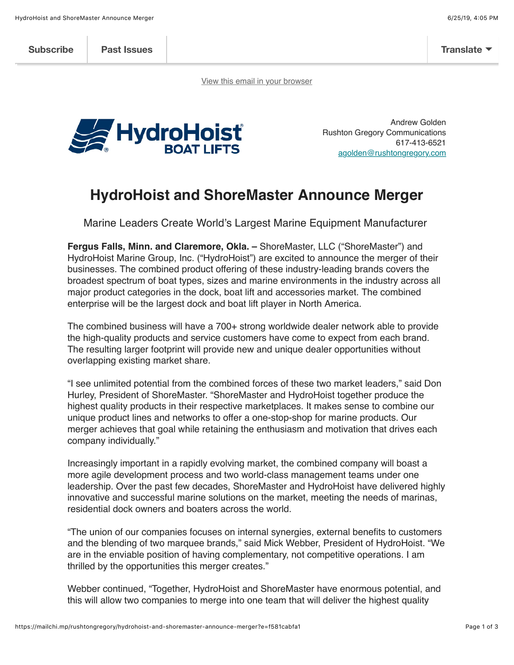**Subscribe Past Issues Translate**

View this email in your browser



Andrew Golden Rushton Gregory Communications 617-413-6521 agolden@rushtongregory.com

## **HydroHoist and ShoreMaster Announce Merger**

Marine Leaders Create World's Largest Marine Equipment Manufacturer

**Fergus Falls, Minn. and Claremore, Okla. –** ShoreMaster, LLC ("ShoreMaster") and HydroHoist Marine Group, Inc. ("HydroHoist") are excited to announce the merger of their businesses. The combined product offering of these industry-leading brands covers the broadest spectrum of boat types, sizes and marine environments in the industry across all major product categories in the dock, boat lift and accessories market. The combined enterprise will be the largest dock and boat lift player in North America.

The combined business will have a 700+ strong worldwide dealer network able to provide the high-quality products and service customers have come to expect from each brand. The resulting larger footprint will provide new and unique dealer opportunities without overlapping existing market share.

"I see unlimited potential from the combined forces of these two market leaders," said Don Hurley, President of ShoreMaster. "ShoreMaster and HydroHoist together produce the highest quality products in their respective marketplaces. It makes sense to combine our unique product lines and networks to offer a one-stop-shop for marine products. Our merger achieves that goal while retaining the enthusiasm and motivation that drives each company individually."

Increasingly important in a rapidly evolving market, the combined company will boast a more agile development process and two world-class management teams under one leadership. Over the past few decades, ShoreMaster and HydroHoist have delivered highly innovative and successful marine solutions on the market, meeting the needs of marinas, residential dock owners and boaters across the world.

"The union of our companies focuses on internal synergies, external benefits to customers and the blending of two marquee brands," said Mick Webber, President of HydroHoist. "We are in the enviable position of having complementary, not competitive operations. I am thrilled by the opportunities this merger creates."

Webber continued, "Together, HydroHoist and ShoreMaster have enormous potential, and this will allow two companies to merge into one team that will deliver the highest quality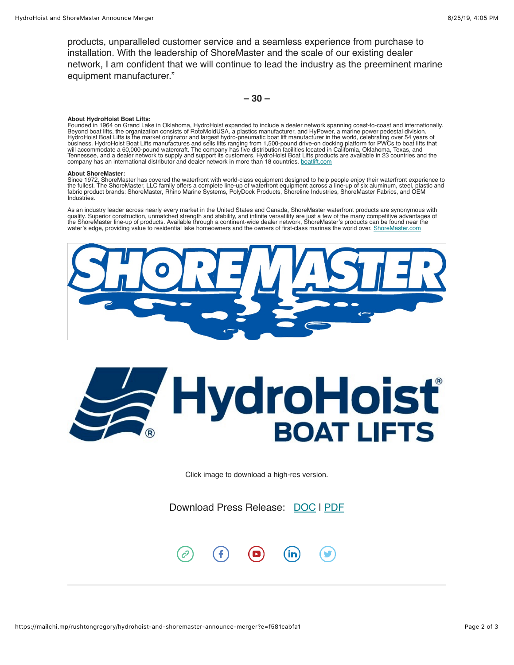products, unparalleled customer service and a seamless experience from purchase to installation. With the leadership of ShoreMaster and the scale of our existing dealer network, I am confident that we will continue to lead the industry as the preeminent marine equipment manufacturer."

**– 30 –**

## **About HydroHoist Boat Lifts:**

Founded in 1964 on Grand Lake in Oklahoma, HydroHoist expanded to include a dealer network spanning coast-to-coast and internationally. Beyond boat lifts, the organization consists of RotoMoldUSA, a plastics manufacturer, and HyPower, a marine power pedestal division. HydroHoist Boat Lifts is the market originator and largest hydro-pneumatic boat lift manufacturer in the world, celebrating over 54 years of<br>business. HydroHoist Boat Lifts manufactures and sells lifts ranging from 1,500-p company has an international distributor and dealer network in more than 18 countries. boatlift.com

## **About ShoreMaster:**

Since 1972, ShoreMaster has covered the waterfront with world-class equipment designed to help people enjoy their waterfront experience to<br>the fullest. The ShoreMaster, LLC family offers a complete line-up of waterfront eq fabric product brands: ShoreMaster, Rhino Marine Systems, PolyDock Products, Shoreline Industries, ShoreMaster Fabrics, and OEM Industries.

As an industry leader across nearly every market in the United States and Canada, ShoreMaster waterfront products are synonymous with<br>quality. Superior construction, unmatched strength and stability, and infinite versatili the ShoreMaster line-up of products. Available through a continent-wide dealer network, ShoreMaster's products can be found near the water's edge, providing value to residential lake homeowners and the owners of first-class marinas the world over. ShoreMaster.com



## **HydroHoisť BOAT LIFTS**

Click image to download a high-res version.

Download Press Release: DOC | PDF